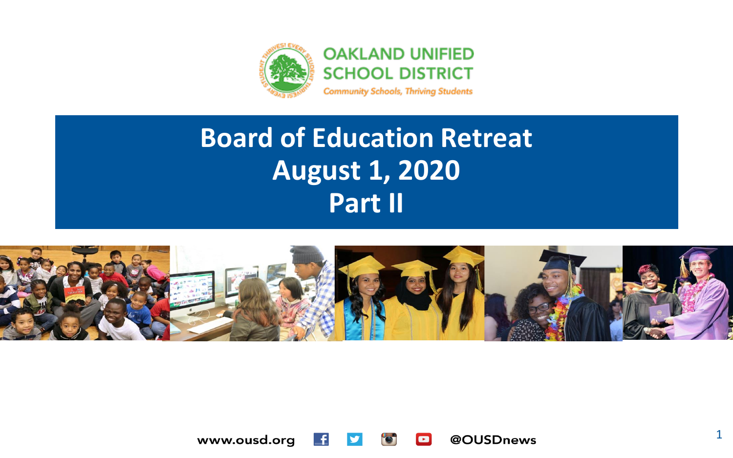

#### **Board of Education Retreat August 1, 2020 Part II**



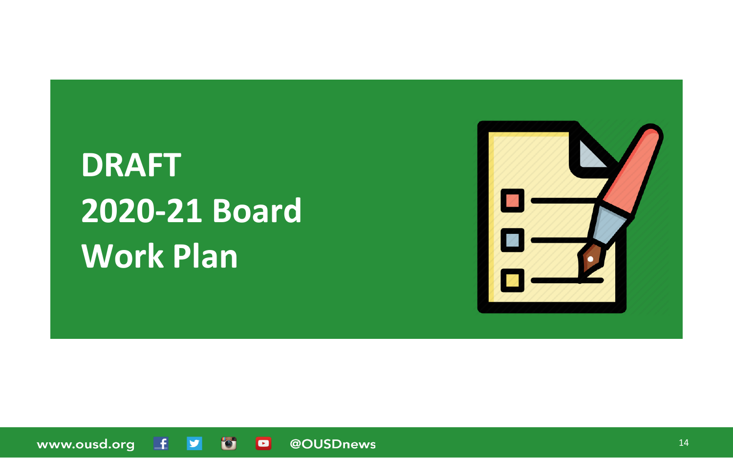# **DRAFT 2020-21 Board Work Plan**



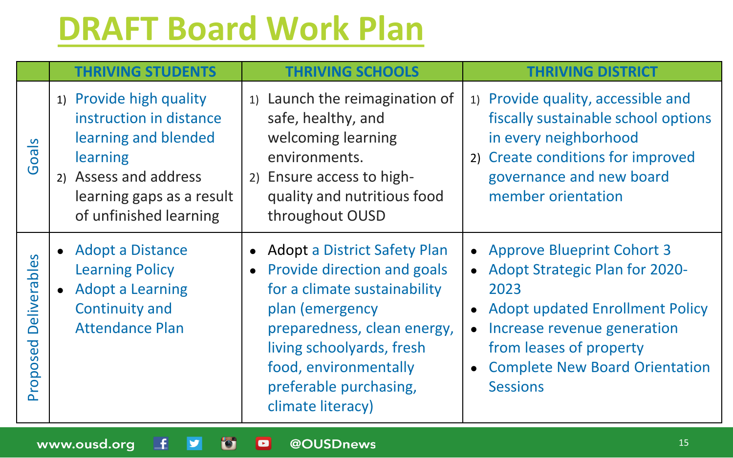#### **[DRAFT Board Work Plan](https://docs.google.com/document/d/1Xulcvr2xB28niiUXZAi2UtrcLtmCRJjUN2UgAJtrZ8o/edit?usp=sharing)**

|                          | <b>THRIVING STUDENTS</b>                                                                                                                                               | <b>THRIVING SCHOOLS</b>                                                                                                                                                                                                                              | <b>THRIVING DISTRICT</b>                                                                                                                                                                                                                 |
|--------------------------|------------------------------------------------------------------------------------------------------------------------------------------------------------------------|------------------------------------------------------------------------------------------------------------------------------------------------------------------------------------------------------------------------------------------------------|------------------------------------------------------------------------------------------------------------------------------------------------------------------------------------------------------------------------------------------|
| Goals                    | 1) Provide high quality<br>instruction in distance<br>learning and blended<br>learning<br>2) Assess and address<br>learning gaps as a result<br>of unfinished learning | 1) Launch the reimagination of<br>safe, healthy, and<br>welcoming learning<br>environments.<br>2) Ensure access to high-<br>quality and nutritious food<br>throughout OUSD                                                                           | 1) Provide quality, accessible and<br>fiscally sustainable school options<br>in every neighborhood<br>2) Create conditions for improved<br>governance and new board<br>member orientation                                                |
| Deliverables<br>Proposed | • Adopt a Distance<br><b>Learning Policy</b><br>• Adopt a Learning<br><b>Continuity and</b><br><b>Attendance Plan</b>                                                  | • Adopt a District Safety Plan<br>Provide direction and goals<br>for a climate sustainability<br>plan (emergency<br>preparedness, clean energy,<br>living schoolyards, fresh<br>food, environmentally<br>preferable purchasing,<br>climate literacy) | • Approve Blueprint Cohort 3<br>• Adopt Strategic Plan for 2020-<br>2023<br><b>Adopt updated Enrollment Policy</b><br>Increase revenue generation<br>from leases of property<br><b>Complete New Board Orientation</b><br><b>Sessions</b> |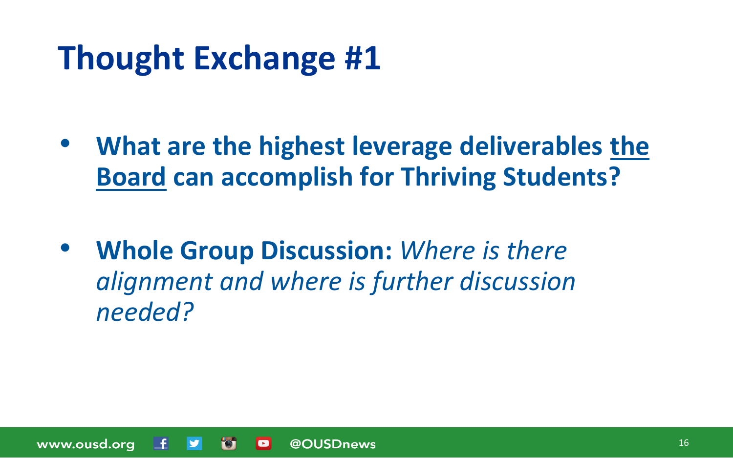## **Thought Exchange #1**

- **What are the highest leverage deliverables the Board can accomplish for Thriving Students?**
- **Whole Group Discussion:** *Where is there alignment and where is further discussion needed?*

www.ousd.org @OUSDnews  $\bullet$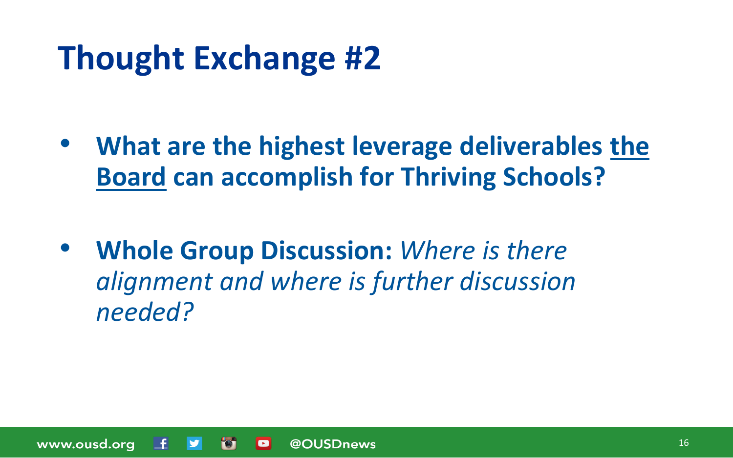## **Thought Exchange #2**

- **What are the highest leverage deliverables the Board can accomplish for Thriving Schools?**
- **Whole Group Discussion:** *Where is there alignment and where is further discussion needed?*

www.ousd.org @OUSDnews  $\bullet$